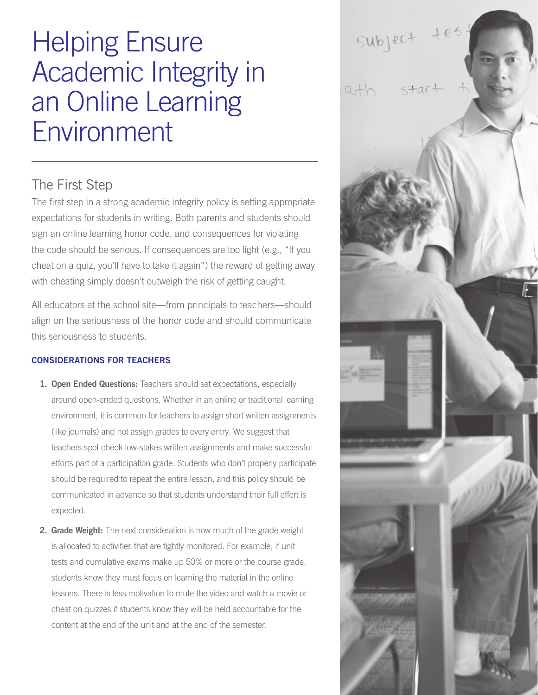## Helping Ensure Academic Integrity in an Online Learning Environment

## The First Step

The first step in a strong academic integrity policy is setting appropriate expectations for students in writing. Both parents and students should sign an online learning honor code, and consequences for violating the code should be serious. If consequences are too light (e.g., "If you cheat on a quiz, you'll have to take it again") the reward of getting away with cheating simply doesn't outweigh the risk of getting caught.

All educators at the school site—from principals to teachers—should align on the seriousness of the honor code and should communicate this seriousness to students.

## CONSIDERATIONS FOR TEACHERS

- 1. Open Ended Questions: Teachers should set expectations, especially around open-ended questions. Whether in an online or traditional learning environment, it is common for teachers to assign short written assignments (like journals) and not assign grades to every entry. We suggest that teachers spot check low-stakes written assignments and make successful efforts part of a participation grade. Students who don't properly participate should be required to repeat the entire lesson, and this policy should be communicated in advance so that students understand their full effort is expected.
- 2. Grade Weight: The next consideration is how much of the grade weight is allocated to activities that are tightly monitored. For example, if unit tests and cumulative exams make up 50% or more or the course grade, students know they must focus on learning the material in the online lessons. There is less motivation to mute the video and watch a movie or cheat on quizzes if students know they will be held accountable for the content at the end of the unit and at the end of the semester.